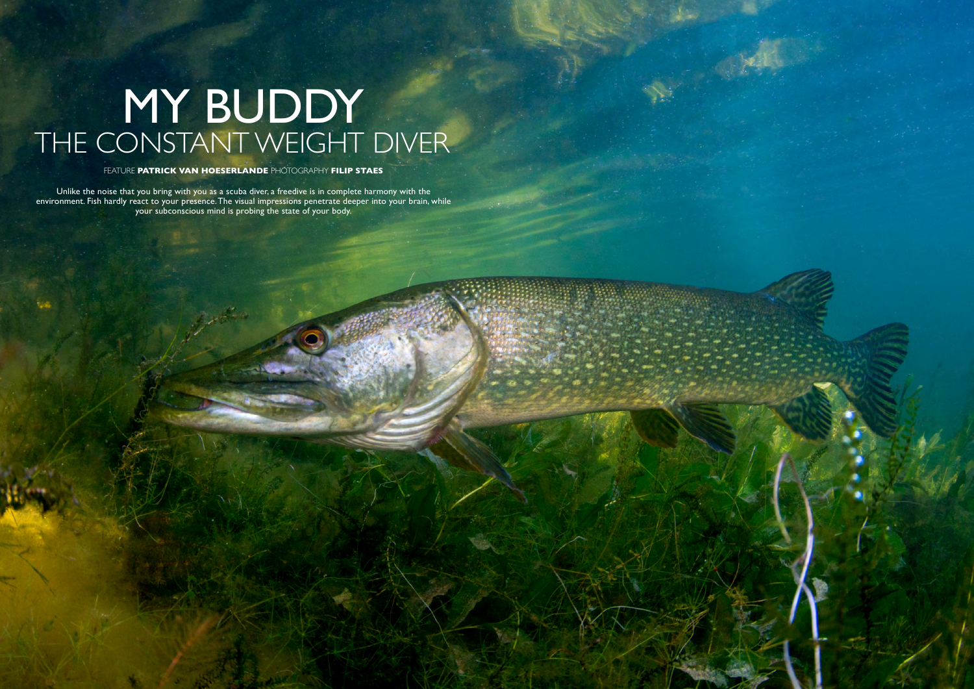

## MY BUDDY THE CONSTANT WEIGHT DIVER

FEATURE **PATRICK VAN HOESERLANDE** PHOTOGRAPHY **FILIP STAES**

Unlike the noise that you bring with you as a scuba diver, a freedive is in complete harmony with the environment. Fish hardly react to your presence. The visual impressions penetrate deeper into your brain, while your subconscious mind is probing the state of your body.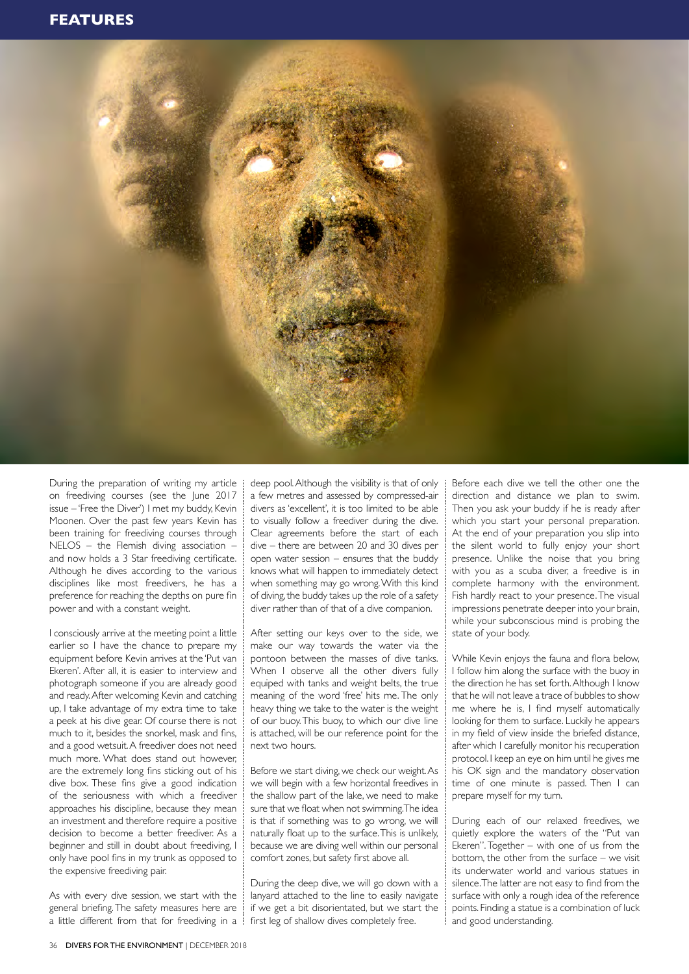

During the preparation of writing my article on freediving courses (see the June 2017 issue – 'Free the Diver') I met my buddy, Kevin Moonen. Over the past few years Kevin has been training for freediving courses through NELOS – the Flemish diving association – and now holds a 3 Star freediving certificate. Although he dives according to the various disciplines like most freedivers, he has a preference for reaching the depths on pure fin power and with a constant weight.

I consciously arrive at the meeting point a little earlier so I have the chance to prepare my equipment before Kevin arrives at the 'Put van Ekeren'. After all, it is easier to interview and photograph someone if you are already good and ready. After welcoming Kevin and catching up, I take advantage of my extra time to take a peek at his dive gear. Of course there is not much to it, besides the snorkel, mask and fins, and a good wetsuit. A freediver does not need much more. What does stand out however, are the extremely long fins sticking out of his dive box. These fins give a good indication of the seriousness with which a freediver approaches his discipline, because they mean an investment and therefore require a positive decision to become a better freediver. As a beginner and still in doubt about freediving, I only have pool fins in my trunk as opposed to the expensive freediving pair.

As with every dive session, we start with the general briefing. The safety measures here are a little different from that for freediving in a first leg of shallow dives completely free.

deep pool. Although the visibility is that of only a few metres and assessed by compressed-air divers as 'excellent', it is too limited to be able to visually follow a freediver during the dive. Clear agreements before the start of each dive – there are between 20 and 30 dives per open water session – ensures that the buddy knows what will happen to immediately detect when something may go wrong. With this kind of diving, the buddy takes up the role of a safety diver rather than of that of a dive companion.

After setting our keys over to the side, we make our way towards the water via the pontoon between the masses of dive tanks. When I observe all the other divers fully equiped with tanks and weight belts, the true meaning of the word 'free' hits me. The only heavy thing we take to the water is the weight of our buoy. This buoy, to which our dive line is attached, will be our reference point for the next two hours.

Before we start diving, we check our weight. As we will begin with a few horizontal freedives in the shallow part of the lake, we need to make sure that we float when not swimming. The idea is that if something was to go wrong, we will naturally float up to the surface. This is unlikely, because we are diving well within our personal comfort zones, but safety first above all.

During the deep dive, we will go down with a lanyard attached to the line to easily navigate if we get a bit disorientated, but we start the Before each dive we tell the other one the direction and distance we plan to swim. Then you ask your buddy if he is ready after which you start your personal preparation. At the end of your preparation you slip into the silent world to fully enjoy your short presence. Unlike the noise that you bring with you as a scuba diver, a freedive is in complete harmony with the environment. Fish hardly react to your presence. The visual impressions penetrate deeper into your brain, while your subconscious mind is probing the state of your body.

While Kevin enjoys the fauna and flora below, I follow him along the surface with the buoy in the direction he has set forth. Although I know that he will not leave a trace of bubbles to show me where he is, I find myself automatically looking for them to surface. Luckily he appears in my field of view inside the briefed distance, after which I carefully monitor his recuperation protocol. I keep an eye on him until he gives me his OK sign and the mandatory observation time of one minute is passed. Then I can prepare myself for my turn.

During each of our relaxed freedives, we quietly explore the waters of the "Put van Ekeren". Together – with one of us from the bottom, the other from the surface – we visit its underwater world and various statues in silence. The latter are not easy to find from the surface with only a rough idea of the reference points. Finding a statue is a combination of luck and good understanding.